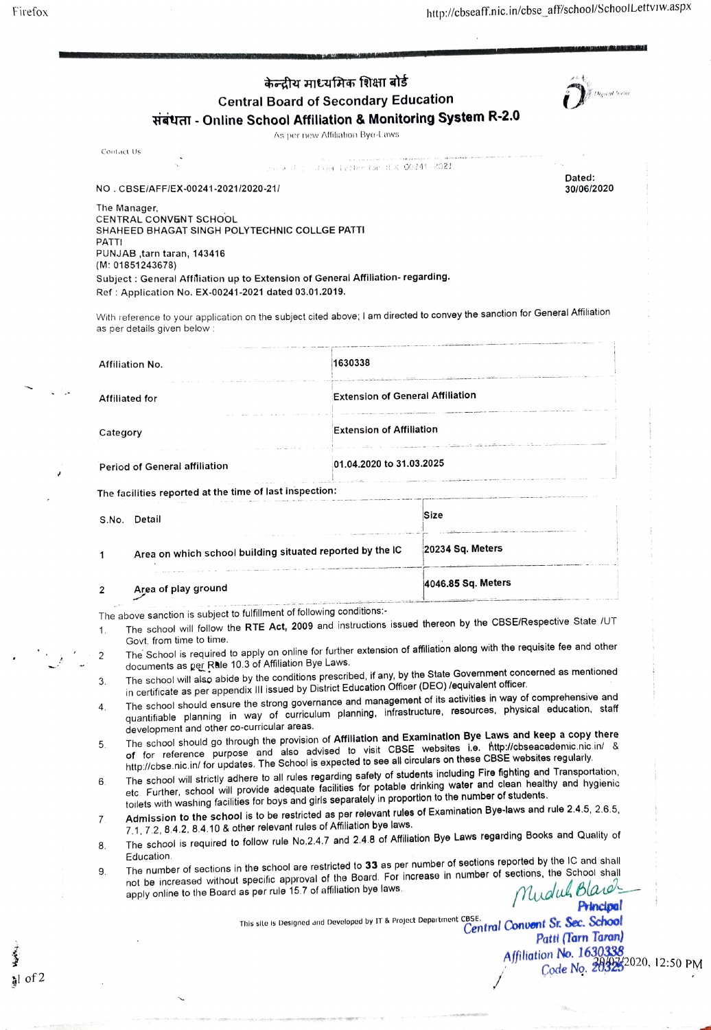| केन्द्रीय माध्यमिक शिक्षा बोर्ड<br><b>Central Board of Secondary Education</b><br>संबंधता - Online School Affiliation & Monitoring System R-2.0<br>As per new Affiliation Bye-Laws                                                                                                                                                                                                                                                                                                                                                                                                                                                                                                                                                                                                                                                                                                                                                                                                                                                                                                                                                                                                                                                                                                                                                                                                                                                                                                                                                                                                                                                                                                                                                                                                                                                                                                                                                                                                                                                                                                                                                                                                                                                                                                                                                                                                                                                                                            |                                                                                                                                                                                     |                                                                                             |  |                                                                                                       |                                                                                  |                                                                                                                             | Digital India                                           |  |  |
|-------------------------------------------------------------------------------------------------------------------------------------------------------------------------------------------------------------------------------------------------------------------------------------------------------------------------------------------------------------------------------------------------------------------------------------------------------------------------------------------------------------------------------------------------------------------------------------------------------------------------------------------------------------------------------------------------------------------------------------------------------------------------------------------------------------------------------------------------------------------------------------------------------------------------------------------------------------------------------------------------------------------------------------------------------------------------------------------------------------------------------------------------------------------------------------------------------------------------------------------------------------------------------------------------------------------------------------------------------------------------------------------------------------------------------------------------------------------------------------------------------------------------------------------------------------------------------------------------------------------------------------------------------------------------------------------------------------------------------------------------------------------------------------------------------------------------------------------------------------------------------------------------------------------------------------------------------------------------------------------------------------------------------------------------------------------------------------------------------------------------------------------------------------------------------------------------------------------------------------------------------------------------------------------------------------------------------------------------------------------------------------------------------------------------------------------------------------------------------|-------------------------------------------------------------------------------------------------------------------------------------------------------------------------------------|---------------------------------------------------------------------------------------------|--|-------------------------------------------------------------------------------------------------------|----------------------------------------------------------------------------------|-----------------------------------------------------------------------------------------------------------------------------|---------------------------------------------------------|--|--|
|                                                                                                                                                                                                                                                                                                                                                                                                                                                                                                                                                                                                                                                                                                                                                                                                                                                                                                                                                                                                                                                                                                                                                                                                                                                                                                                                                                                                                                                                                                                                                                                                                                                                                                                                                                                                                                                                                                                                                                                                                                                                                                                                                                                                                                                                                                                                                                                                                                                                               | Contact Us                                                                                                                                                                          |                                                                                             |  |                                                                                                       |                                                                                  |                                                                                                                             |                                                         |  |  |
|                                                                                                                                                                                                                                                                                                                                                                                                                                                                                                                                                                                                                                                                                                                                                                                                                                                                                                                                                                                                                                                                                                                                                                                                                                                                                                                                                                                                                                                                                                                                                                                                                                                                                                                                                                                                                                                                                                                                                                                                                                                                                                                                                                                                                                                                                                                                                                                                                                                                               | and with a calvior Letter for HEX 00241-2021<br>Dated:<br>NO. CBSE/AFF/EX-00241-2021/2020-21/<br>30/06/2020                                                                         |                                                                                             |  |                                                                                                       |                                                                                  |                                                                                                                             |                                                         |  |  |
| PATTI                                                                                                                                                                                                                                                                                                                                                                                                                                                                                                                                                                                                                                                                                                                                                                                                                                                                                                                                                                                                                                                                                                                                                                                                                                                                                                                                                                                                                                                                                                                                                                                                                                                                                                                                                                                                                                                                                                                                                                                                                                                                                                                                                                                                                                                                                                                                                                                                                                                                         | The Manager,<br>(M: 01851243678)                                                                                                                                                    | <b>CENTRAL CONVENT SCHOOL</b><br>PUNJAB, tarn taran, 143416<br>as per details given below : |  | SHAHEED BHAGAT SINGH POLYTECHNIC COLLGE PATTI<br>Ref: Application No. EX-00241-2021 dated 03.01.2019. | Subject : General Affiliation up to Extension of General Affiliation- regarding. | With reference to your application on the subject cited above; I am directed to convey the sanction for General Affiliation |                                                         |  |  |
|                                                                                                                                                                                                                                                                                                                                                                                                                                                                                                                                                                                                                                                                                                                                                                                                                                                                                                                                                                                                                                                                                                                                                                                                                                                                                                                                                                                                                                                                                                                                                                                                                                                                                                                                                                                                                                                                                                                                                                                                                                                                                                                                                                                                                                                                                                                                                                                                                                                                               | Affiliation No.                                                                                                                                                                     |                                                                                             |  |                                                                                                       | 1630338                                                                          |                                                                                                                             |                                                         |  |  |
| <b>Affiliated for</b>                                                                                                                                                                                                                                                                                                                                                                                                                                                                                                                                                                                                                                                                                                                                                                                                                                                                                                                                                                                                                                                                                                                                                                                                                                                                                                                                                                                                                                                                                                                                                                                                                                                                                                                                                                                                                                                                                                                                                                                                                                                                                                                                                                                                                                                                                                                                                                                                                                                         |                                                                                                                                                                                     |                                                                                             |  |                                                                                                       | <b>Extension of General Affiliation</b>                                          | the company of the company of the company of the company of the company of the company of the company of the company of     |                                                         |  |  |
|                                                                                                                                                                                                                                                                                                                                                                                                                                                                                                                                                                                                                                                                                                                                                                                                                                                                                                                                                                                                                                                                                                                                                                                                                                                                                                                                                                                                                                                                                                                                                                                                                                                                                                                                                                                                                                                                                                                                                                                                                                                                                                                                                                                                                                                                                                                                                                                                                                                                               | Category                                                                                                                                                                            |                                                                                             |  |                                                                                                       | <b>Extension of Affiliation</b>                                                  | and the complete state of the complete state and the                                                                        |                                                         |  |  |
| Period of General affiliation                                                                                                                                                                                                                                                                                                                                                                                                                                                                                                                                                                                                                                                                                                                                                                                                                                                                                                                                                                                                                                                                                                                                                                                                                                                                                                                                                                                                                                                                                                                                                                                                                                                                                                                                                                                                                                                                                                                                                                                                                                                                                                                                                                                                                                                                                                                                                                                                                                                 |                                                                                                                                                                                     |                                                                                             |  |                                                                                                       | 01.04.2020 to 31.03.2025                                                         | and an experimental control of the complete service of the control of the complete service of the control of th             |                                                         |  |  |
|                                                                                                                                                                                                                                                                                                                                                                                                                                                                                                                                                                                                                                                                                                                                                                                                                                                                                                                                                                                                                                                                                                                                                                                                                                                                                                                                                                                                                                                                                                                                                                                                                                                                                                                                                                                                                                                                                                                                                                                                                                                                                                                                                                                                                                                                                                                                                                                                                                                                               |                                                                                                                                                                                     |                                                                                             |  | The facilities reported at the time of last inspection:                                               |                                                                                  |                                                                                                                             |                                                         |  |  |
|                                                                                                                                                                                                                                                                                                                                                                                                                                                                                                                                                                                                                                                                                                                                                                                                                                                                                                                                                                                                                                                                                                                                                                                                                                                                                                                                                                                                                                                                                                                                                                                                                                                                                                                                                                                                                                                                                                                                                                                                                                                                                                                                                                                                                                                                                                                                                                                                                                                                               | S.No. Detail                                                                                                                                                                        |                                                                                             |  |                                                                                                       |                                                                                  | Size<br>.<br>2001 – Antonio politički svetski predstava i država i država i predstava i predstava i svetla i svetla i svet  |                                                         |  |  |
| 1                                                                                                                                                                                                                                                                                                                                                                                                                                                                                                                                                                                                                                                                                                                                                                                                                                                                                                                                                                                                                                                                                                                                                                                                                                                                                                                                                                                                                                                                                                                                                                                                                                                                                                                                                                                                                                                                                                                                                                                                                                                                                                                                                                                                                                                                                                                                                                                                                                                                             | Area on which school building situated reported by the IC<br>.<br>In the complete the contract of the property countries to the contract of the complete contract the second second |                                                                                             |  |                                                                                                       |                                                                                  | 20234 Sq. Meters                                                                                                            |                                                         |  |  |
| 2                                                                                                                                                                                                                                                                                                                                                                                                                                                                                                                                                                                                                                                                                                                                                                                                                                                                                                                                                                                                                                                                                                                                                                                                                                                                                                                                                                                                                                                                                                                                                                                                                                                                                                                                                                                                                                                                                                                                                                                                                                                                                                                                                                                                                                                                                                                                                                                                                                                                             | Area of play ground                                                                                                                                                                 |                                                                                             |  |                                                                                                       |                                                                                  | 4046.85 Sq. Meters                                                                                                          |                                                         |  |  |
| The above sanction is subject to fulfillment of following conditions:-<br>The school will follow the RTE Act, 2009 and instructions issued thereon by the CBSE/Respective State /UT<br>1.<br>Govt. from time to time.<br>The School is required to apply on online for further extension of affiliation along with the requisite fee and other<br>2<br>documents as per Rule 10.3 of Affiliation Bye Laws.<br>The school will also abide by the conditions prescribed, if any, by the State Government concerned as mentioned<br>3.<br>in certificate as per appendix III issued by District Education Officer (DEO) /equivalent officer.<br>The school should ensure the strong governance and management of its activities in way of comprehensive and<br>4.<br>quantifiable planning in way of curriculum planning, infrastructure, resources, physical education, staff<br>development and other co-curricular areas.<br>The school should go through the provision of Affiliation and Examination Bye Laws and keep a copy there<br>5.<br>of for reference purpose and also advised to visit CBSE websites i.e. http://cbseacademic.nic.in/ &<br>http://cbse.nic.in/ for updates. The School is expected to see all circulars on these CBSE websites regularly.<br>The school will strictly adhere to all rules regarding safety of students including Fire fighting and Transportation,<br>6.<br>etc. Further, school will provide adequate facilities for potable drinking water and clean healthy and hygienic<br>toilets with washing facilities for boys and girls separately in proportion to the number of students.<br>Admission to the school is to be restricted as per relevant rules of Examination Bye-laws and rule 2.4.5, 2.6.5,<br>$7_{\scriptscriptstyle{\wedge}}$<br>7.1, 7.2, 8.4.2, 8.4.10 & other relevant rules of Affiliation bye laws.<br>The school is required to follow rule No.2.4.7 and 2.4.8 of Affiliation Bye Laws regarding Books and Quality of<br>8.<br>Education.<br>The number of sections in the school are restricted to 33 as per number of sections reported by the IC and shall<br>9.<br>not be increased without specific approval of the Board. For increase in number of sections, the School shall<br>Mudul Blace-<br>apply online to the Board as per rule 15.7 of affiliation bye laws.<br>This site is Designed and Developed by IT & Project Department CBSE.<br>Central Convent Sr. Sec. School<br>Patti (Tarn Taran) |                                                                                                                                                                                     |                                                                                             |  |                                                                                                       |                                                                                  |                                                                                                                             |                                                         |  |  |
|                                                                                                                                                                                                                                                                                                                                                                                                                                                                                                                                                                                                                                                                                                                                                                                                                                                                                                                                                                                                                                                                                                                                                                                                                                                                                                                                                                                                                                                                                                                                                                                                                                                                                                                                                                                                                                                                                                                                                                                                                                                                                                                                                                                                                                                                                                                                                                                                                                                                               |                                                                                                                                                                                     |                                                                                             |  |                                                                                                       |                                                                                  |                                                                                                                             | Affiliation No. 1630338<br>Code No. 203232020, 12:50 PM |  |  |
|                                                                                                                                                                                                                                                                                                                                                                                                                                                                                                                                                                                                                                                                                                                                                                                                                                                                                                                                                                                                                                                                                                                                                                                                                                                                                                                                                                                                                                                                                                                                                                                                                                                                                                                                                                                                                                                                                                                                                                                                                                                                                                                                                                                                                                                                                                                                                                                                                                                                               |                                                                                                                                                                                     |                                                                                             |  |                                                                                                       |                                                                                  |                                                                                                                             |                                                         |  |  |